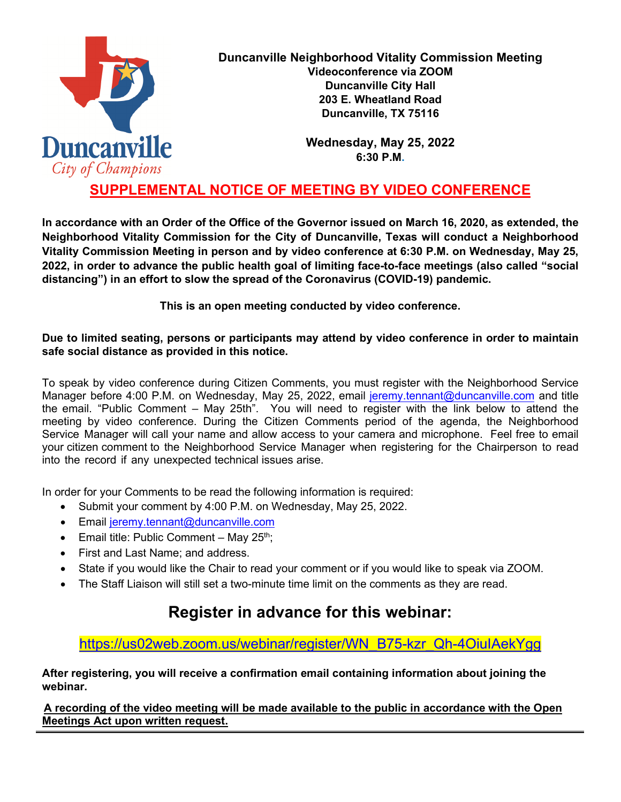

**Duncanville Neighborhood Vitality Commission Meeting Videoconference via ZOOM Duncanville City Hall 203 E. Wheatland Road Duncanville, TX 75116**

> **Wednesday, May 25, 2022 6:30 P.M.**

## **SUPPLEMENTAL NOTICE OF MEETING BY VIDEO CONFERENCE**

**In accordance with an Order of the Office of the Governor issued on March 16, 2020, as extended, the Neighborhood Vitality Commission for the City of Duncanville, Texas will conduct a Neighborhood Vitality Commission Meeting in person and by video conference at 6:30 P.M. on Wednesday, May 25, 2022, in order to advance the public health goal of limiting face-to-face meetings (also called "social distancing") in an effort to slow the spread of the Coronavirus (COVID-19) pandemic.** 

**This is an open meeting conducted by video conference.**

#### **Due to limited seating, persons or participants may attend by video conference in order to maintain safe social distance as provided in this notice.**

To speak by video conference during Citizen Comments, you must register with the Neighborhood Service Manager before 4:00 P.M. on Wednesday, May 25, 2022, email [jeremy.tennant@duncanville.com](mailto:jeremy.tennant@duncanville.com) and title the email. "Public Comment – May 25th". You will need to register with the link below to attend the meeting by video conference. During the Citizen Comments period of the agenda, the Neighborhood Service Manager will call your name and allow access to your camera and microphone. Feel free to email your citizen comment to the Neighborhood Service Manager when registering for the Chairperson to read into the record if any unexpected technical issues arise.

In order for your Comments to be read the following information is required:

- Submit your comment by 4:00 P.M. on Wednesday, May 25, 2022.
- Email [jeremy.tennant@duncanville.com](mailto:jeremy.tennant@duncanville.com)
- Email title: Public Comment May  $25<sup>th</sup>$ ;
- First and Last Name; and address.
- State if you would like the Chair to read your comment or if you would like to speak via ZOOM.
- The Staff Liaison will still set a two-minute time limit on the comments as they are read.

# **Register in advance for this webinar:**

[https://us02web.zoom.us/webinar/register/WN\\_B75-kzr\\_Qh-4OiuIAekYgg](https://us02web.zoom.us/webinar/register/WN_B75-kzr_Qh-4OiuIAekYgg)

**After registering, you will receive a confirmation email containing information about joining the webinar.**

**A recording of the video meeting will be made available to the public in accordance with the Open Meetings Act upon written request.**